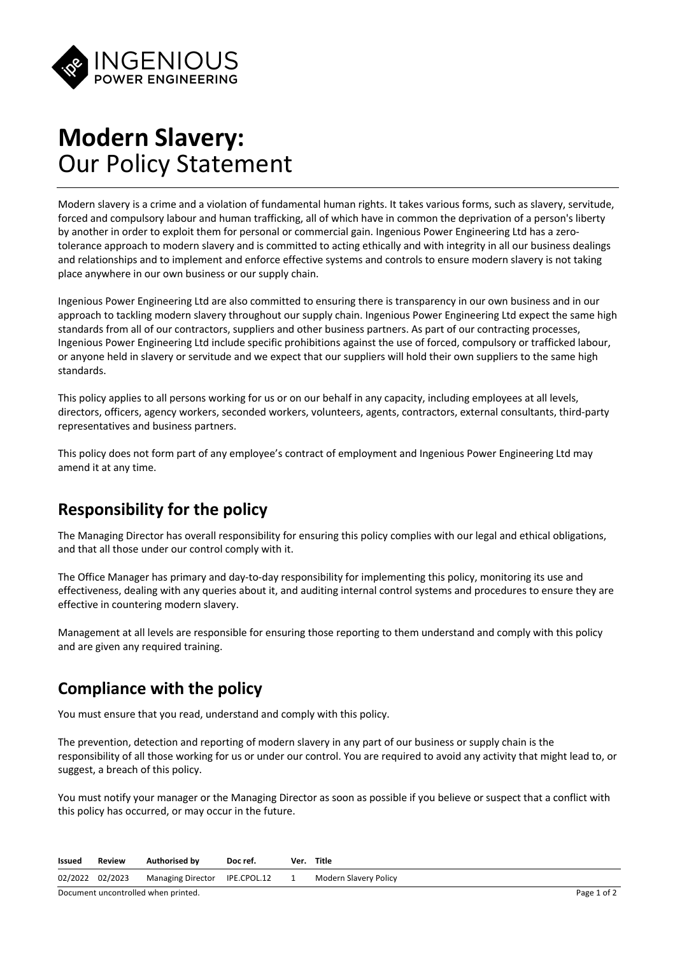

# **Modern Slavery:** Our Policy Statement

Modern slavery is a crime and a violation of fundamental human rights. It takes various forms, such as slavery, servitude, forced and compulsory labour and human trafficking, all of which have in common the deprivation of a person's liberty by another in order to exploit them for personal or commercial gain. Ingenious Power Engineering Ltd has a zerotolerance approach to modern slavery and is committed to acting ethically and with integrity in all our business dealings and relationships and to implement and enforce effective systems and controls to ensure modern slavery is not taking place anywhere in our own business or our supply chain.

Ingenious Power Engineering Ltd are also committed to ensuring there is transparency in our own business and in our approach to tackling modern slavery throughout our supply chain. Ingenious Power Engineering Ltd expect the same high standards from all of our contractors, suppliers and other business partners. As part of our contracting processes, Ingenious Power Engineering Ltd include specific prohibitions against the use of forced, compulsory or trafficked labour, or anyone held in slavery or servitude and we expect that our suppliers will hold their own suppliers to the same high standards.

This policy applies to all persons working for us or on our behalf in any capacity, including employees at all levels, directors, officers, agency workers, seconded workers, volunteers, agents, contractors, external consultants, third-party representatives and business partners.

This policy does not form part of any employee's contract of employment and Ingenious Power Engineering Ltd may amend it at any time.

### **Responsibility for the policy**

The Managing Director has overall responsibility for ensuring this policy complies with our legal and ethical obligations, and that all those under our control comply with it.

The Office Manager has primary and day-to-day responsibility for implementing this policy, monitoring its use and effectiveness, dealing with any queries about it, and auditing internal control systems and procedures to ensure they are effective in countering modern slavery.

Management at all levels are responsible for ensuring those reporting to them understand and comply with this policy and are given any required training.

### **Compliance with the policy**

You must ensure that you read, understand and comply with this policy.

The prevention, detection and reporting of modern slavery in any part of our business or supply chain is the responsibility of all those working for us or under our control. You are required to avoid any activity that might lead to, or suggest, a breach of this policy.

You must notify your manager or the Managing Director as soon as possible if you believe or suspect that a conflict with this policy has occurred, or may occur in the future.

| Issued                              | <b>Review</b>   | <b>Authorised by</b>          | Doc ref. |  | Ver. Title            |             |
|-------------------------------------|-----------------|-------------------------------|----------|--|-----------------------|-------------|
|                                     | 02/2022 02/2023 | Managing Director IPE.CPOL.12 |          |  | Modern Slavery Policy |             |
| Document uncontrolled when printed. |                 |                               |          |  |                       | Page 1 of 2 |